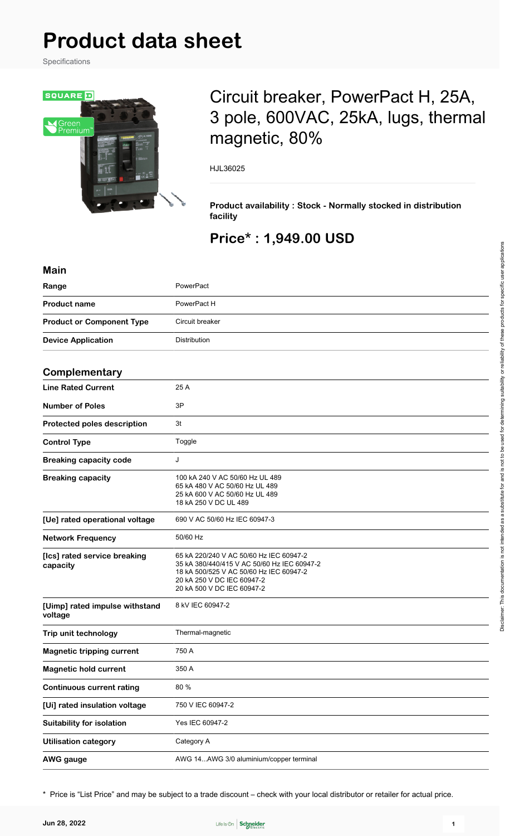# **Product data sheet**

Specifications



# Circuit breaker, PowerPact H, 25A, 3 pole, 600VAC, 25kA, lugs, thermal magnetic, 80%

HJL36025

**Product availability : Stock - Normally stocked in distribution facility**

# **Price\* : 1,949.00 USD**

| <b>Main</b>                               |                                                                                                                                                                                               |
|-------------------------------------------|-----------------------------------------------------------------------------------------------------------------------------------------------------------------------------------------------|
| Range                                     | PowerPact                                                                                                                                                                                     |
| <b>Product name</b>                       | PowerPact H                                                                                                                                                                                   |
| <b>Product or Component Type</b>          | Circuit breaker                                                                                                                                                                               |
| <b>Device Application</b>                 | Distribution                                                                                                                                                                                  |
|                                           |                                                                                                                                                                                               |
| Complementary                             |                                                                                                                                                                                               |
| <b>Line Rated Current</b>                 | 25 A                                                                                                                                                                                          |
| <b>Number of Poles</b>                    | 3P                                                                                                                                                                                            |
| Protected poles description               | 3t                                                                                                                                                                                            |
| <b>Control Type</b>                       | Toggle                                                                                                                                                                                        |
| <b>Breaking capacity code</b>             | J                                                                                                                                                                                             |
| <b>Breaking capacity</b>                  | 100 kA 240 V AC 50/60 Hz UL 489<br>65 kA 480 V AC 50/60 Hz UL 489<br>25 kA 600 V AC 50/60 Hz UL 489<br>18 kA 250 V DC UL 489                                                                  |
| [Ue] rated operational voltage            | 690 V AC 50/60 Hz IEC 60947-3                                                                                                                                                                 |
| <b>Network Frequency</b>                  | 50/60 Hz                                                                                                                                                                                      |
| [Ics] rated service breaking<br>capacity  | 65 kA 220/240 V AC 50/60 Hz IEC 60947-2<br>35 kA 380/440/415 V AC 50/60 Hz IEC 60947-2<br>18 kA 500/525 V AC 50/60 Hz IEC 60947-2<br>20 kA 250 V DC IEC 60947-2<br>20 kA 500 V DC IEC 60947-2 |
| [Uimp] rated impulse withstand<br>voltage | 8 kV IEC 60947-2                                                                                                                                                                              |
| Trip unit technology                      | Thermal-magnetic                                                                                                                                                                              |
| <b>Magnetic tripping current</b>          | 750 A                                                                                                                                                                                         |
| <b>Magnetic hold current</b>              | 350 A                                                                                                                                                                                         |
| <b>Continuous current rating</b>          | 80 %                                                                                                                                                                                          |
| [Ui] rated insulation voltage             | 750 V IEC 60947-2                                                                                                                                                                             |
| <b>Suitability for isolation</b>          | Yes IEC 60947-2                                                                                                                                                                               |
| <b>Utilisation category</b>               | Category A                                                                                                                                                                                    |
| <b>AWG</b> gauge                          | AWG 14AWG 3/0 aluminium/copper terminal                                                                                                                                                       |

\* Price is "List Price" and may be subject to a trade discount – check with your local distributor or retailer for actual price.

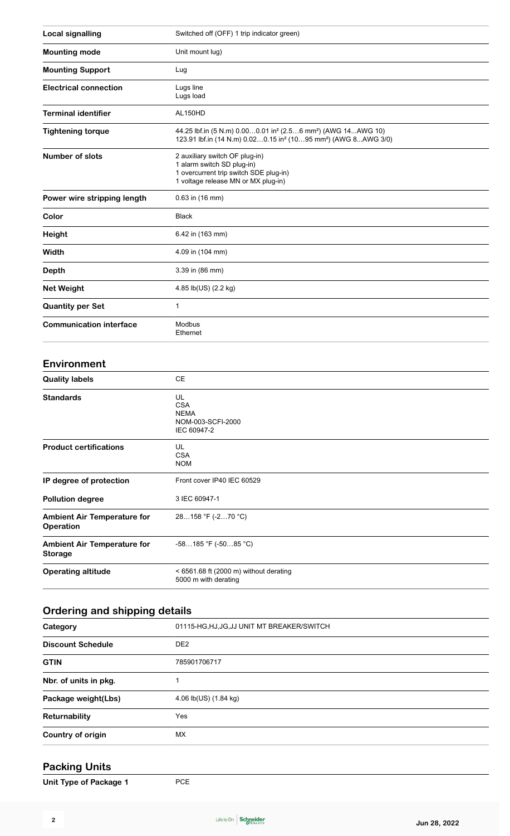| <b>Local signalling</b>        | Switched off (OFF) 1 trip indicator green)                                                                                                                                     |
|--------------------------------|--------------------------------------------------------------------------------------------------------------------------------------------------------------------------------|
| <b>Mounting mode</b>           | Unit mount lug)                                                                                                                                                                |
| <b>Mounting Support</b>        | Lug                                                                                                                                                                            |
| <b>Electrical connection</b>   | Lugs line<br>Lugs load                                                                                                                                                         |
| <b>Terminal identifier</b>     | AL150HD                                                                                                                                                                        |
| <b>Tightening torque</b>       | 44.25 lbf.in (5 N.m) 0.000.01 in <sup>2</sup> (2.56 mm <sup>2</sup> ) (AWG 14AWG 10)<br>123.91 lbf.in (14 N.m) 0.020.15 in <sup>2</sup> (1095 mm <sup>2</sup> ) (AWG 8AWG 3/0) |
| <b>Number of slots</b>         | 2 auxiliary switch OF plug-in)<br>1 alarm switch SD plug-in)<br>1 overcurrent trip switch SDE plug-in)<br>1 voltage release MN or MX plug-in)                                  |
| Power wire stripping length    | $0.63$ in (16 mm)                                                                                                                                                              |
| Color                          | <b>Black</b>                                                                                                                                                                   |
| Height                         | 6.42 in (163 mm)                                                                                                                                                               |
| Width                          | 4.09 in (104 mm)                                                                                                                                                               |
| Depth                          | 3.39 in (86 mm)                                                                                                                                                                |
| <b>Net Weight</b>              | 4.85 lb(US) (2.2 kg)                                                                                                                                                           |
| <b>Quantity per Set</b>        | 1                                                                                                                                                                              |
| <b>Communication interface</b> | Modbus<br>Ethernet                                                                                                                                                             |

#### **Environment**

| <b>Quality labels</b>                                | СE                                                                  |
|------------------------------------------------------|---------------------------------------------------------------------|
| <b>Standards</b>                                     | UL<br><b>CSA</b><br><b>NEMA</b><br>NOM-003-SCFI-2000<br>IEC 60947-2 |
| <b>Product certifications</b>                        | UL<br><b>CSA</b><br><b>NOM</b>                                      |
| IP degree of protection                              | Front cover IP40 IEC 60529                                          |
| <b>Pollution degree</b>                              | 3 IEC 60947-1                                                       |
| <b>Ambient Air Temperature for</b><br>Operation      | 28158 °F (-270 °C)                                                  |
| <b>Ambient Air Temperature for</b><br><b>Storage</b> | $-58185$ °F ( $-5085$ °C)                                           |
| <b>Operating altitude</b>                            | $<$ 6561.68 ft (2000 m) without derating<br>5000 m with derating    |

#### **Ordering and shipping details**

| Category                 | 01115-HG, HJ, JG, JJ UNIT MT BREAKER/SWITCH |
|--------------------------|---------------------------------------------|
| <b>Discount Schedule</b> | DE <sub>2</sub>                             |
| <b>GTIN</b>              | 785901706717                                |
| Nbr. of units in pkg.    |                                             |
| Package weight(Lbs)      | 4.06 lb(US) (1.84 kg)                       |
| Returnability            | Yes                                         |
| Country of origin        | МX                                          |

### **Packing Units**

| Unit Type of Package 1 | <b>PCE</b> |
|------------------------|------------|
|------------------------|------------|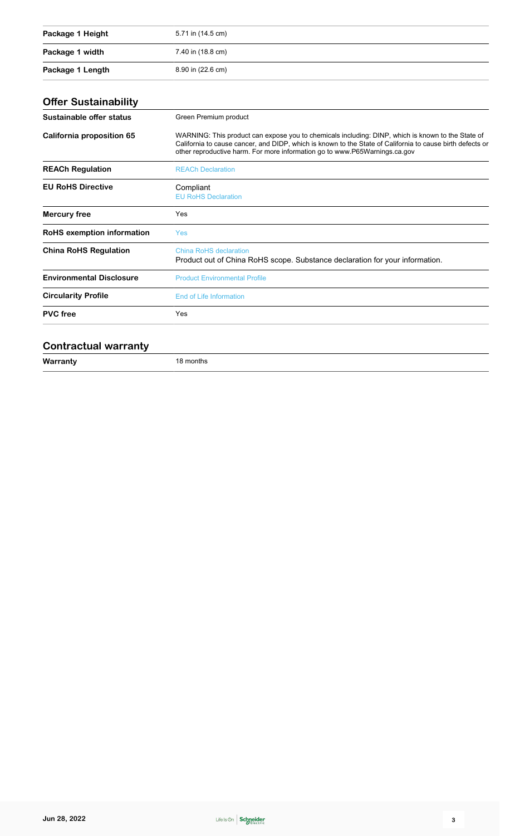| Package 1 Height | 5.71 in (14.5 cm) |
|------------------|-------------------|
| Package 1 width  | 7.40 in (18.8 cm) |
| Package 1 Length | 8.90 in (22.6 cm) |

# **Offer Sustainability**

| Sustainable offer status          | Green Premium product                                                                                                                                                                                                                                                                        |
|-----------------------------------|----------------------------------------------------------------------------------------------------------------------------------------------------------------------------------------------------------------------------------------------------------------------------------------------|
| California proposition 65         | WARNING: This product can expose you to chemicals including: DINP, which is known to the State of<br>California to cause cancer, and DIDP, which is known to the State of California to cause birth defects or<br>other reproductive harm. For more information go to www.P65Warnings.ca.gov |
| <b>REACh Regulation</b>           | <b>REACh Declaration</b>                                                                                                                                                                                                                                                                     |
| <b>EU RoHS Directive</b>          | Compliant<br><b>EU RoHS Declaration</b>                                                                                                                                                                                                                                                      |
| Mercury free                      | Yes                                                                                                                                                                                                                                                                                          |
| <b>RoHS</b> exemption information | <b>Yes</b>                                                                                                                                                                                                                                                                                   |
| <b>China RoHS Regulation</b>      | China RoHS declaration<br>Product out of China RoHS scope. Substance declaration for your information.                                                                                                                                                                                       |
| <b>Environmental Disclosure</b>   | <b>Product Environmental Profile</b>                                                                                                                                                                                                                                                         |
| <b>Circularity Profile</b>        | End of Life Information                                                                                                                                                                                                                                                                      |
| <b>PVC</b> free                   | Yes                                                                                                                                                                                                                                                                                          |
|                                   |                                                                                                                                                                                                                                                                                              |

#### **Contractual warranty**

| W<br><b>TTALLALLY</b><br>and the control | ontns |
|------------------------------------------|-------|